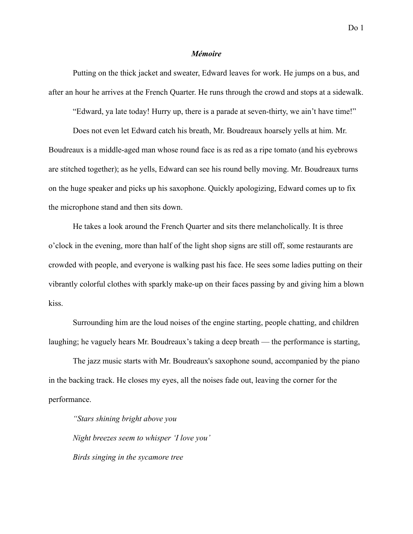## *Mémoire*

Putting on the thick jacket and sweater, Edward leaves for work. He jumps on a bus, and after an hour he arrives at the French Quarter. He runs through the crowd and stops at a sidewalk.

"Edward, ya late today! Hurry up, there is a parade at seven-thirty, we ain't have time!"

Does not even let Edward catch his breath, Mr. Boudreaux hoarsely yells at him. Mr. Boudreaux is a middle-aged man whose round face is as red as a ripe tomato (and his eyebrows are stitched together); as he yells, Edward can see his round belly moving. Mr. Boudreaux turns on the huge speaker and picks up his saxophone. Quickly apologizing, Edward comes up to fix the microphone stand and then sits down.

He takes a look around the French Quarter and sits there melancholically. It is three o'clock in the evening, more than half of the light shop signs are still off, some restaurants are crowded with people, and everyone is walking past his face. He sees some ladies putting on their vibrantly colorful clothes with sparkly make-up on their faces passing by and giving him a blown kiss.

Surrounding him are the loud noises of the engine starting, people chatting, and children laughing; he vaguely hears Mr. Boudreaux's taking a deep breath — the performance is starting,

The jazz music starts with Mr. Boudreaux's saxophone sound, accompanied by the piano in the backing track. He closes my eyes, all the noises fade out, leaving the corner for the performance.

*"Stars shining bright above you Night breezes seem to whisper 'I love you' Birds singing in the sycamore tree*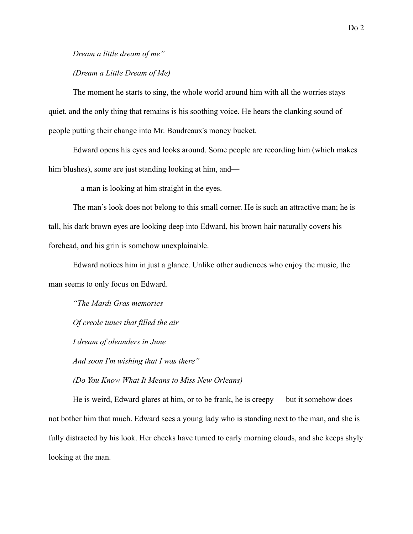*Dream a little dream of me"*

## *(Dream a Little Dream of Me)*

The moment he starts to sing, the whole world around him with all the worries stays quiet, and the only thing that remains is his soothing voice. He hears the clanking sound of people putting their change into Mr. Boudreaux's money bucket.

Edward opens his eyes and looks around. Some people are recording him (which makes him blushes), some are just standing looking at him, and—

—a man is looking at him straight in the eyes.

The man's look does not belong to this small corner. He is such an attractive man; he is tall, his dark brown eyes are looking deep into Edward, his brown hair naturally covers his forehead, and his grin is somehow unexplainable.

Edward notices him in just a glance. Unlike other audiences who enjoy the music, the man seems to only focus on Edward.

*"The Mardi Gras memories Of creole tunes that filled the air I dream of oleanders in June And soon I'm wishing that I was there"*

*(Do You Know What It Means to Miss New Orleans)*

He is weird, Edward glares at him, or to be frank, he is creepy — but it somehow does not bother him that much. Edward sees a young lady who is standing next to the man, and she is fully distracted by his look. Her cheeks have turned to early morning clouds, and she keeps shyly looking at the man.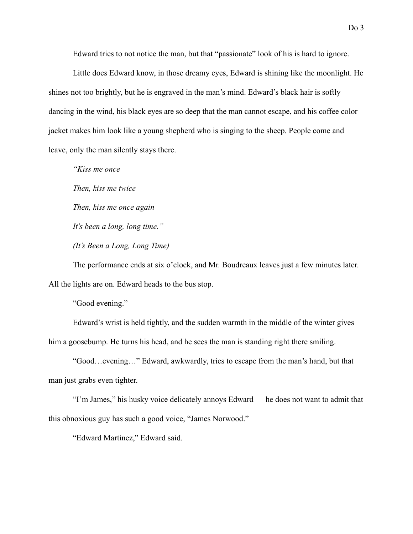Edward tries to not notice the man, but that "passionate" look of his is hard to ignore.

Little does Edward know, in those dreamy eyes, Edward is shining like the moonlight. He shines not too brightly, but he is engraved in the man's mind. Edward's black hair is softly dancing in the wind, his black eyes are so deep that the man cannot escape, and his coffee color jacket makes him look like a young shepherd who is singing to the sheep. People come and leave, only the man silently stays there.

*"Kiss me once*

*Then, kiss me twice*

*Then, kiss me once again*

*It's been a long, long time."*

*(It's Been a Long, Long Time)*

The performance ends at six o'clock, and Mr. Boudreaux leaves just a few minutes later. All the lights are on. Edward heads to the bus stop.

"Good evening."

Edward's wrist is held tightly, and the sudden warmth in the middle of the winter gives him a goosebump. He turns his head, and he sees the man is standing right there smiling.

"Good…evening…" Edward, awkwardly, tries to escape from the man's hand, but that man just grabs even tighter.

"I'm James," his husky voice delicately annoys Edward — he does not want to admit that this obnoxious guy has such a good voice, "James Norwood."

"Edward Martinez," Edward said.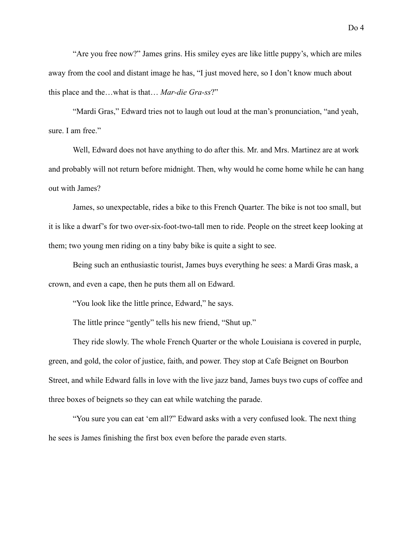"Are you free now?" James grins. His smiley eyes are like little puppy's, which are miles away from the cool and distant image he has, "I just moved here, so I don't know much about this place and the…what is that… *Mar-die Gra-ss*?"

"Mardi Gras," Edward tries not to laugh out loud at the man's pronunciation, "and yeah, sure. I am free."

Well, Edward does not have anything to do after this. Mr. and Mrs. Martinez are at work and probably will not return before midnight. Then, why would he come home while he can hang out with James?

James, so unexpectable, rides a bike to this French Quarter. The bike is not too small, but it is like a dwarf's for two over-six-foot-two-tall men to ride. People on the street keep looking at them; two young men riding on a tiny baby bike is quite a sight to see.

Being such an enthusiastic tourist, James buys everything he sees: a Mardi Gras mask, a crown, and even a cape, then he puts them all on Edward.

"You look like the little prince, Edward," he says.

The little prince "gently" tells his new friend, "Shut up."

They ride slowly. The whole French Quarter or the whole Louisiana is covered in purple, green, and gold, the color of justice, faith, and power. They stop at Cafe Beignet on Bourbon Street, and while Edward falls in love with the live jazz band, James buys two cups of coffee and three boxes of beignets so they can eat while watching the parade.

"You sure you can eat 'em all?" Edward asks with a very confused look. The next thing he sees is James finishing the first box even before the parade even starts.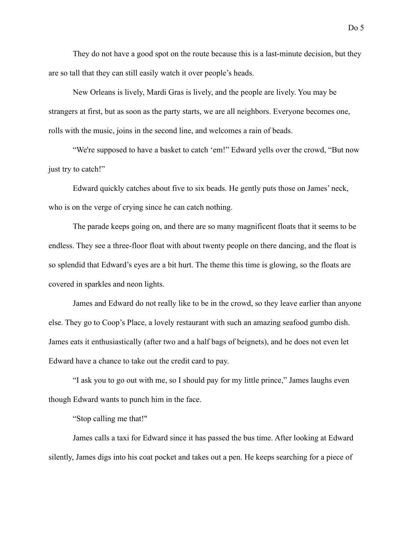They do not have a good spot on the route because this is a last-minute decision, but they are so tall that they can still easily watch it over people's heads.

New Orleans is lively, Mardi Gras is lively, and the people are lively. You may be strangers at first, but as soon as the party starts, we are all neighbors. Everyone becomes one, rolls with the music, joins in the second line, and welcomes a rain of beads.

"We're supposed to have a basket to catch 'em!" Edward yells over the crowd, "But now just try to catch!"

Edward quickly catches about five to six beads. He gently puts those on James' neck, who is on the verge of crying since he can catch nothing.

The parade keeps going on, and there are so many magnificent floats that it seems to be endless. They see a three-floor float with about twenty people on there dancing, and the float is so splendid that Edward's eyes are a bit hurt. The theme this time is glowing, so the floats are covered in sparkles and neon lights.

James and Edward do not really like to be in the crowd, so they leave earlier than anyone else. They go to Coop's Place, a lovely restaurant with such an amazing seafood gumbo dish. James eats it enthusiastically (after two and a half bags of beignets), and he does not even let Edward have a chance to take out the credit card to pay.

"I ask you to go out with me, so I should pay for my little prince," James laughs even though Edward wants to punch him in the face.

"Stop calling me that!"

James calls a taxi for Edward since it has passed the bus time. After looking at Edward silently, James digs into his coat pocket and takes out a pen. He keeps searching for a piece of